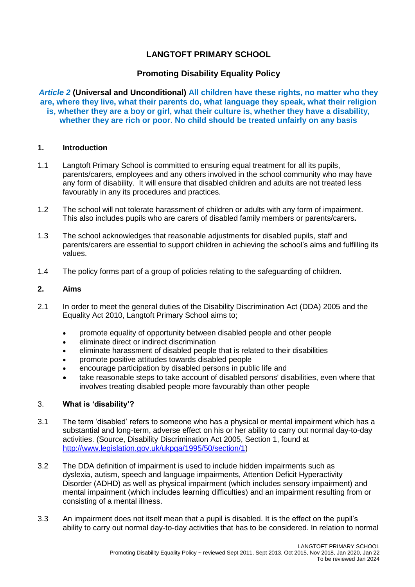# **LANGTOFT PRIMARY SCHOOL**

# **Promoting Disability Equality Policy**

*Article 2* **(Universal and Unconditional) All children have these rights, no matter who they are, where they live, what their parents do, what language they speak, what their religion is, whether they are a boy or girl, what their culture is, whether they have a disability, whether they are rich or poor. No child should be treated unfairly on any basis**

### **1. Introduction**

- 1.1 Langtoft Primary School is committed to ensuring equal treatment for all its pupils, parents/carers, employees and any others involved in the school community who may have any form of disability. It will ensure that disabled children and adults are not treated less favourably in any its procedures and practices.
- 1.2 The school will not tolerate harassment of children or adults with any form of impairment. This also includes pupils who are carers of disabled family members or parents/carers**.**
- 1.3 The school acknowledges that reasonable adjustments for disabled pupils, staff and parents/carers are essential to support children in achieving the school's aims and fulfilling its values.
- 1.4 The policy forms part of a group of policies relating to the safeguarding of children.

### **2. Aims**

- 2.1 In order to meet the general duties of the Disability Discrimination Act (DDA) 2005 and the Equality Act 2010, Langtoft Primary School aims to;
	- promote equality of opportunity between disabled people and other people
	- eliminate direct or indirect discrimination
	- eliminate harassment of disabled people that is related to their disabilities
	- promote positive attitudes towards disabled people
	- encourage participation by disabled persons in public life and
	- take reasonable steps to take account of disabled persons' disabilities, even where that involves treating disabled people more favourably than other people

#### 3. **What is 'disability'?**

- 3.1 The term 'disabled' refers to someone who has a physical or mental impairment which has a substantial and long-term, adverse effect on his or her ability to carry out normal day-to-day activities. (Source, Disability Discrimination Act 2005, Section 1, found at [http://www.legislation.gov.uk/ukpga/1995/50/section/1\)](http://www.legislation.gov.uk/ukpga/1995/50/section/1)
- 3.2 The DDA definition of impairment is used to include hidden impairments such as dyslexia, autism, speech and language impairments, Attention Deficit Hyperactivity Disorder (ADHD) as well as physical impairment (which includes sensory impairment) and mental impairment (which includes learning difficulties) and an impairment resulting from or consisting of a mental illness.
- 3.3 An impairment does not itself mean that a pupil is disabled. It is the effect on the pupil's ability to carry out normal day-to-day activities that has to be considered. In relation to normal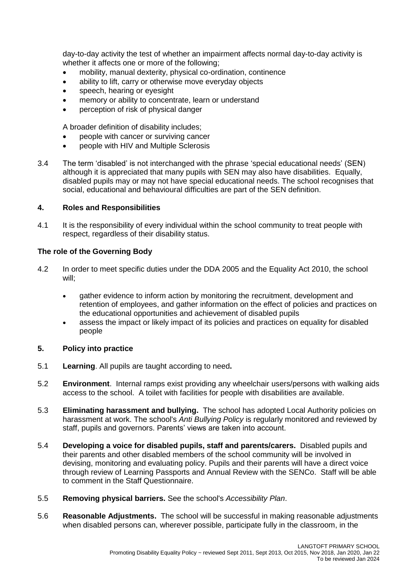day-to-day activity the test of whether an impairment affects normal day-to-day activity is whether it affects one or more of the following;

- mobility, manual dexterity, physical co-ordination, continence
- ability to lift, carry or otherwise move everyday objects
- speech, hearing or eyesight
- memory or ability to concentrate, learn or understand
- perception of risk of physical danger

A broader definition of disability includes;

- people with cancer or surviving cancer
- people with HIV and Multiple Sclerosis
- 3.4 The term 'disabled' is not interchanged with the phrase 'special educational needs' (SEN) although it is appreciated that many pupils with SEN may also have disabilities. Equally, disabled pupils may or may not have special educational needs. The school recognises that social, educational and behavioural difficulties are part of the SEN definition.

## **4. Roles and Responsibilities**

4.1 It is the responsibility of every individual within the school community to treat people with respect, regardless of their disability status.

# **The role of the Governing Body**

- 4.2 In order to meet specific duties under the DDA 2005 and the Equality Act 2010, the school will;
	- gather evidence to inform action by monitoring the recruitment, development and retention of employees, and gather information on the effect of policies and practices on the educational opportunities and achievement of disabled pupils
	- assess the impact or likely impact of its policies and practices on equality for disabled people

## **5. Policy into practice**

- 5.1 **Learning**. All pupils are taught according to need**.**
- 5.2 **Environment**. Internal ramps exist providing any wheelchair users/persons with walking aids access to the school. A toilet with facilities for people with disabilities are available.
- 5.3 **Eliminating harassment and bullying.** The school has adopted Local Authority policies on harassment at work. The school's *Anti Bullying Policy* is regularly monitored and reviewed by staff, pupils and governors. Parents' views are taken into account.
- 5.4 **Developing a voice for disabled pupils, staff and parents/carers.** Disabled pupils and their parents and other disabled members of the school community will be involved in devising, monitoring and evaluating policy. Pupils and their parents will have a direct voice through review of Learning Passports and Annual Review with the SENCo. Staff will be able to comment in the Staff Questionnaire.
- 5.5 **Removing physical barriers.** See the school's *Accessibility Plan*.
- 5.6 **Reasonable Adjustments.** The school will be successful in making reasonable adjustments when disabled persons can, wherever possible, participate fully in the classroom, in the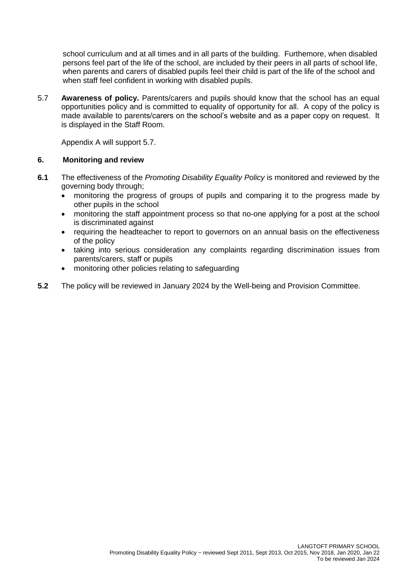school curriculum and at all times and in all parts of the building. Furthemore, when disabled persons feel part of the life of the school, are included by their peers in all parts of school life, when parents and carers of disabled pupils feel their child is part of the life of the school and when staff feel confident in working with disabled pupils.

5.7 **Awareness of policy.** Parents/carers and pupils should know that the school has an equal opportunities policy and is committed to equality of opportunity for all. A copy of the policy is made available to parents/carers on the school's website and as a paper copy on request. It is displayed in the Staff Room.

Appendix A will support 5.7.

# **6. Monitoring and review**

- **6.1** The effectiveness of the *Promoting Disability Equality Policy* is monitored and reviewed by the governing body through;
	- monitoring the progress of groups of pupils and comparing it to the progress made by other pupils in the school
	- monitoring the staff appointment process so that no-one applying for a post at the school is discriminated against
	- requiring the headteacher to report to governors on an annual basis on the effectiveness of the policy
	- taking into serious consideration any complaints regarding discrimination issues from parents/carers, staff or pupils
	- monitoring other policies relating to safeguarding
- **5.2** The policy will be reviewed in January 2024 by the Well-being and Provision Committee.